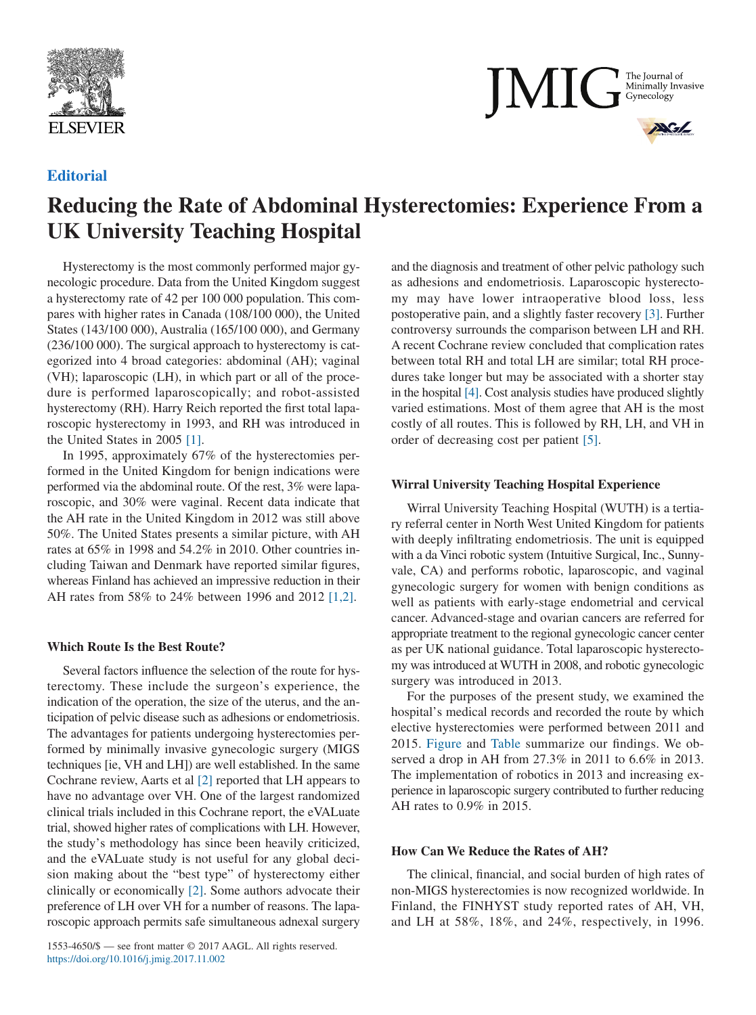



# **Editorial**

# **Reducing the Rate of Abdominal Hysterectomies: Experience From a UK University Teaching Hospital**

Hysterectomy is the most commonly performed major gynecologic procedure. Data from the United Kingdom suggest a hysterectomy rate of 42 per 100 000 population. This compares with higher rates in Canada (108/100 000), the United States (143/100 000), Australia (165/100 000), and Germany (236/100 000). The surgical approach to hysterectomy is categorized into 4 broad categories: abdominal (AH); vaginal (VH); laparoscopic (LH), in which part or all of the procedure is performed laparoscopically; and robot-assisted hysterectomy (RH). Harry Reich reported the first total laparoscopic hysterectomy in 1993, and RH was introduced in the United States in 2005 [\[1\].](#page-2-0)

In 1995, approximately 67% of the hysterectomies performed in the United Kingdom for benign indications were performed via the abdominal route. Of the rest, 3% were laparoscopic, and 30% were vaginal. Recent data indicate that the AH rate in the United Kingdom in 2012 was still above 50%. The United States presents a similar picture, with AH rates at 65% in 1998 and 54.2% in 2010. Other countries including Taiwan and Denmark have reported similar figures, whereas Finland has achieved an impressive reduction in their AH rates from 58% to 24% between 1996 and 2012 [\[1,2\].](#page-2-0)

### **Which Route Is the Best Route?**

Several factors influence the selection of the route for hysterectomy. These include the surgeon's experience, the indication of the operation, the size of the uterus, and the anticipation of pelvic disease such as adhesions or endometriosis. The advantages for patients undergoing hysterectomies performed by minimally invasive gynecologic surgery (MIGS techniques [ie, VH and LH]) are well established. In the same Cochrane review, Aarts et al [\[2\]](#page-2-1) reported that LH appears to have no advantage over VH. One of the largest randomized clinical trials included in this Cochrane report, the eVALuate trial, showed higher rates of complications with LH. However, the study's methodology has since been heavily criticized, and the eVALuate study is not useful for any global decision making about the "best type" of hysterectomy either clinically or economically [\[2\].](#page-2-1) Some authors advocate their preference of LH over VH for a number of reasons. The laparoscopic approach permits safe simultaneous adnexal surgery

1553-4650/\$ — see front matter © 2017 AAGL. All rights reserved. https://doi.org/10.1016/j.jmig.2017.11.002

and the diagnosis and treatment of other pelvic pathology such as adhesions and endometriosis. Laparoscopic hysterectomy may have lower intraoperative blood loss, less postoperative pain, and a slightly faster recovery [\[3\].](#page-2-2) Further controversy surrounds the comparison between LH and RH. A recent Cochrane review concluded that complication rates between total RH and total LH are similar; total RH procedures take longer but may be associated with a shorter stay in the hospital [\[4\].](#page-2-3) Cost analysis studies have produced slightly varied estimations. Most of them agree that AH is the most costly of all routes. This is followed by RH, LH, and VH in order of decreasing cost per patient [\[5\].](#page-2-4)

## **Wirral University Teaching Hospital Experience**

Wirral University Teaching Hospital (WUTH) is a tertiary referral center in North West United Kingdom for patients with deeply infiltrating endometriosis. The unit is equipped with a da Vinci robotic system (Intuitive Surgical, Inc., Sunnyvale, CA) and performs robotic, laparoscopic, and vaginal gynecologic surgery for women with benign conditions as well as patients with early-stage endometrial and cervical cancer. Advanced-stage and ovarian cancers are referred for appropriate treatment to the regional gynecologic cancer center as per UK national guidance. Total laparoscopic hysterectomy was introduced at WUTH in 2008, and robotic gynecologic surgery was introduced in 2013.

For the purposes of the present study, we examined the hospital's medical records and recorded the route by which elective hysterectomies were performed between 2011 and 2015. [Figure](#page-1-0) and [Table](#page-1-1) summarize our findings. We observed a drop in AH from 27.3% in 2011 to 6.6% in 2013. The implementation of robotics in 2013 and increasing experience in laparoscopic surgery contributed to further reducing AH rates to 0.9% in 2015.

## **How Can We Reduce the Rates of AH?**

The clinical, financial, and social burden of high rates of non-MIGS hysterectomies is now recognized worldwide. In Finland, the FINHYST study reported rates of AH, VH, and LH at 58%, 18%, and 24%, respectively, in 1996.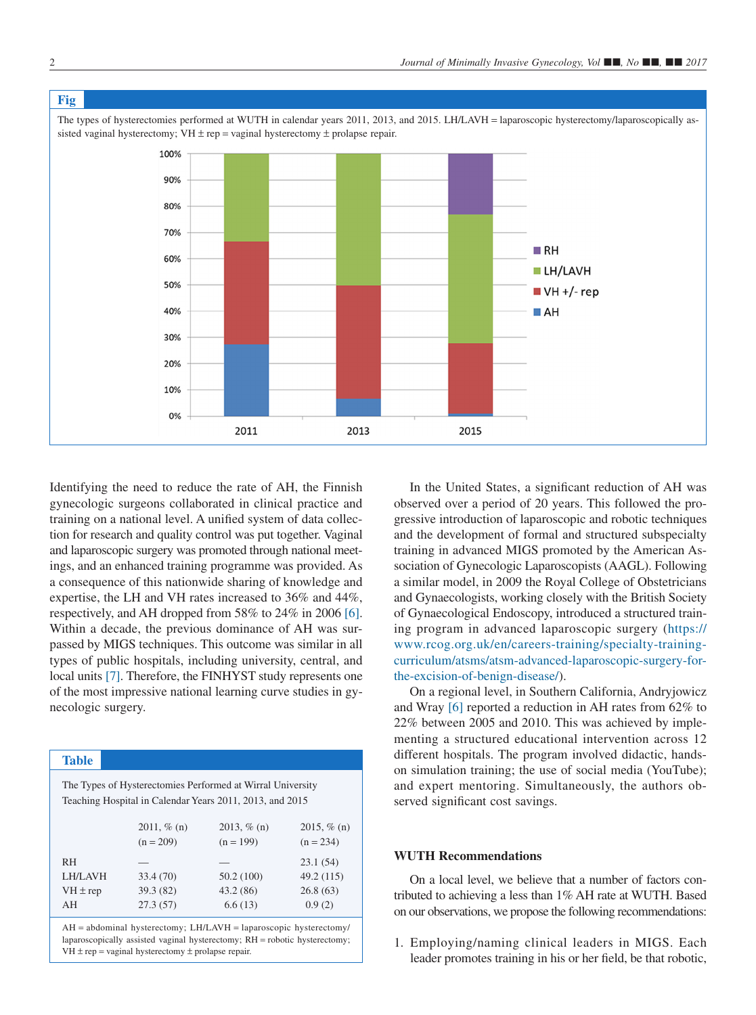<span id="page-1-0"></span>

Identifying the need to reduce the rate of AH, the Finnish gynecologic surgeons collaborated in clinical practice and training on a national level. A unified system of data collection for research and quality control was put together. Vaginal and laparoscopic surgery was promoted through national meetings, and an enhanced training programme was provided. As a consequence of this nationwide sharing of knowledge and expertise, the LH and VH rates increased to 36% and 44%, respectively, and AH dropped from 58% to 24% in 2006 [\[6\].](#page-2-5) Within a decade, the previous dominance of AH was surpassed by MIGS techniques. This outcome was similar in all types of public hospitals, including university, central, and local units [\[7\].](#page-2-6) Therefore, the FINHYST study represents one of the most impressive national learning curve studies in gynecologic surgery.

# <span id="page-1-1"></span>**Table**

The Types of Hysterectomies Performed at Wirral University Teaching Hospital in Calendar Years 2011, 2013, and 2015

|              | $2011, \%$ (n)<br>$(n = 209)$ | $2013, \%$ (n)<br>$(n = 199)$ | 2015, $% (n)$<br>$(n = 234)$ |
|--------------|-------------------------------|-------------------------------|------------------------------|
| <b>RH</b>    |                               |                               | 23.1(54)                     |
| LH/LAVH      | 33.4(70)                      | 50.2 (100)                    | 49.2 (115)                   |
| $VH \pm rep$ | 39.3 (82)                     | 43.2(86)                      | 26.8(63)                     |
| AH           | 27.3(57)                      | 6.6(13)                       | 0.9(2)                       |

AH = abdominal hysterectomy; LH/LAVH = laparoscopic hysterectomy/ laparoscopically assisted vaginal hysterectomy; RH = robotic hysterectomy;  $VH \pm rep = \text{vaginal hysterectomy} \pm \text{prolapse repair}.$ 

In the United States, a significant reduction of AH was observed over a period of 20 years. This followed the progressive introduction of laparoscopic and robotic techniques and the development of formal and structured subspecialty training in advanced MIGS promoted by the American Association of Gynecologic Laparoscopists (AAGL). Following a similar model, in 2009 the Royal College of Obstetricians and Gynaecologists, working closely with the British Society of Gynaecological Endoscopy, introduced a structured training program in advanced laparoscopic surgery [\(https://](https://www.rcog.org.uk/en/careers-training/specialty-training-curriculum/atsms/atsm-advanced-laparoscopic-surgery-for-the-excision-of-benign-disease/) [www.rcog.org.uk/en/careers-training/specialty-training](https://www.rcog.org.uk/en/careers-training/specialty-training-curriculum/atsms/atsm-advanced-laparoscopic-surgery-for-the-excision-of-benign-disease/)[curriculum/atsms/atsm-advanced-laparoscopic-surgery-for](https://www.rcog.org.uk/en/careers-training/specialty-training-curriculum/atsms/atsm-advanced-laparoscopic-surgery-for-the-excision-of-benign-disease/)[the-excision-of-benign-disease/\)](https://www.rcog.org.uk/en/careers-training/specialty-training-curriculum/atsms/atsm-advanced-laparoscopic-surgery-for-the-excision-of-benign-disease/).

On a regional level, in Southern California, Andryjowicz and Wray [\[6\]](#page-2-5) reported a reduction in AH rates from 62% to 22% between 2005 and 2010. This was achieved by implementing a structured educational intervention across 12 different hospitals. The program involved didactic, handson simulation training; the use of social media (YouTube); and expert mentoring. Simultaneously, the authors observed significant cost savings.

## **WUTH Recommendations**

On a local level, we believe that a number of factors contributed to achieving a less than 1% AH rate at WUTH. Based on our observations, we propose the following recommendations:

1. Employing/naming clinical leaders in MIGS. Each leader promotes training in his or her field, be that robotic,